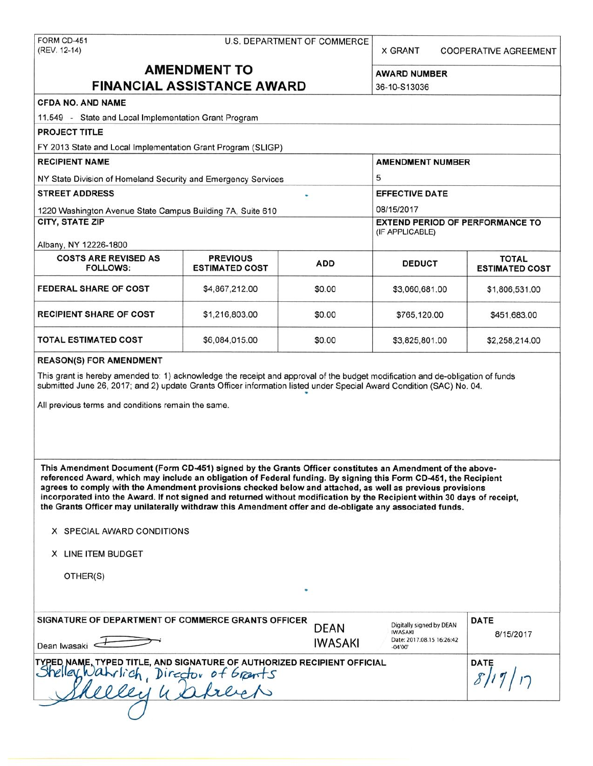| FORM CD-451<br>(REV. 12-14)                                                                                                                                                                                                                                                                                                                                                                                                                                                                                                                                                       | <b>X GRANT</b>        | <b>COOPERATIVE AGREEMENT</b> |                                                                                                                                                                                                                             |             |  |  |  |  |  |
|-----------------------------------------------------------------------------------------------------------------------------------------------------------------------------------------------------------------------------------------------------------------------------------------------------------------------------------------------------------------------------------------------------------------------------------------------------------------------------------------------------------------------------------------------------------------------------------|-----------------------|------------------------------|-----------------------------------------------------------------------------------------------------------------------------------------------------------------------------------------------------------------------------|-------------|--|--|--|--|--|
|                                                                                                                                                                                                                                                                                                                                                                                                                                                                                                                                                                                   | <b>AMENDMENT TO</b>   |                              |                                                                                                                                                                                                                             |             |  |  |  |  |  |
|                                                                                                                                                                                                                                                                                                                                                                                                                                                                                                                                                                                   | <b>AWARD NUMBER</b>   |                              |                                                                                                                                                                                                                             |             |  |  |  |  |  |
| <b>FINANCIAL ASSISTANCE AWARD</b>                                                                                                                                                                                                                                                                                                                                                                                                                                                                                                                                                 | 36-10-S13036          |                              |                                                                                                                                                                                                                             |             |  |  |  |  |  |
| <b>CFDA NO. AND NAME</b>                                                                                                                                                                                                                                                                                                                                                                                                                                                                                                                                                          |                       |                              |                                                                                                                                                                                                                             |             |  |  |  |  |  |
| 11.549 - State and Local Implementation Grant Program                                                                                                                                                                                                                                                                                                                                                                                                                                                                                                                             |                       |                              |                                                                                                                                                                                                                             |             |  |  |  |  |  |
| PROJECT TITLE                                                                                                                                                                                                                                                                                                                                                                                                                                                                                                                                                                     |                       |                              |                                                                                                                                                                                                                             |             |  |  |  |  |  |
| FY 2013 State and Local Implementation Grant Program (SLIGP)                                                                                                                                                                                                                                                                                                                                                                                                                                                                                                                      |                       |                              |                                                                                                                                                                                                                             |             |  |  |  |  |  |
| <b>RECIPIENT NAME</b>                                                                                                                                                                                                                                                                                                                                                                                                                                                                                                                                                             |                       |                              | <b>AMENDMENT NUMBER</b>                                                                                                                                                                                                     |             |  |  |  |  |  |
| NY State Division of Homeland Security and Emergency Services                                                                                                                                                                                                                                                                                                                                                                                                                                                                                                                     |                       |                              | 5                                                                                                                                                                                                                           |             |  |  |  |  |  |
| <b>STREET ADDRESS</b>                                                                                                                                                                                                                                                                                                                                                                                                                                                                                                                                                             |                       |                              | <b>EFFECTIVE DATE</b>                                                                                                                                                                                                       |             |  |  |  |  |  |
| 1220 Washington Avenue State Campus Building 7A, Suite 610                                                                                                                                                                                                                                                                                                                                                                                                                                                                                                                        |                       |                              | 08/15/2017                                                                                                                                                                                                                  |             |  |  |  |  |  |
| CITY, STATE ZIP                                                                                                                                                                                                                                                                                                                                                                                                                                                                                                                                                                   |                       |                              | <b>EXTEND PERIOD OF PERFORMANCE TO</b><br>(IF APPLICABLE)<br><b>TOTAL</b><br><b>DEDUCT</b><br><b>ESTIMATED COST</b><br>\$3,060,681.00<br>\$1,806,531.00<br>\$765,120.00<br>\$451,683.00<br>\$3,825,801.00<br>\$2,258,214.00 |             |  |  |  |  |  |
|                                                                                                                                                                                                                                                                                                                                                                                                                                                                                                                                                                                   |                       |                              |                                                                                                                                                                                                                             |             |  |  |  |  |  |
| Albany, NY 12226-1800<br><b>COSTS ARE REVISED AS</b>                                                                                                                                                                                                                                                                                                                                                                                                                                                                                                                              | <b>PREVIOUS</b>       |                              |                                                                                                                                                                                                                             |             |  |  |  |  |  |
| <b>FOLLOWS:</b>                                                                                                                                                                                                                                                                                                                                                                                                                                                                                                                                                                   | <b>ESTIMATED COST</b> | <b>ADD</b>                   |                                                                                                                                                                                                                             |             |  |  |  |  |  |
| <b>FEDERAL SHARE OF COST</b>                                                                                                                                                                                                                                                                                                                                                                                                                                                                                                                                                      | \$4,867,212.00        | \$0.00                       |                                                                                                                                                                                                                             |             |  |  |  |  |  |
| <b>RECIPIENT SHARE OF COST</b>                                                                                                                                                                                                                                                                                                                                                                                                                                                                                                                                                    | \$1,216,803.00        | \$0.00                       |                                                                                                                                                                                                                             |             |  |  |  |  |  |
| TOTAL ESTIMATED COST                                                                                                                                                                                                                                                                                                                                                                                                                                                                                                                                                              | \$0.00                |                              |                                                                                                                                                                                                                             |             |  |  |  |  |  |
| <b>REASON(S) FOR AMENDMENT</b>                                                                                                                                                                                                                                                                                                                                                                                                                                                                                                                                                    |                       |                              |                                                                                                                                                                                                                             |             |  |  |  |  |  |
| This grant is hereby amended to: 1) acknowledge the receipt and approval of the budget modification and de-obligation of funds<br>submitted June 26, 2017; and 2) update Grants Officer information listed under Special Award Condition (SAC) No. 04.                                                                                                                                                                                                                                                                                                                            |                       |                              |                                                                                                                                                                                                                             |             |  |  |  |  |  |
| All previous terms and conditions remain the same.                                                                                                                                                                                                                                                                                                                                                                                                                                                                                                                                |                       |                              |                                                                                                                                                                                                                             |             |  |  |  |  |  |
|                                                                                                                                                                                                                                                                                                                                                                                                                                                                                                                                                                                   |                       |                              |                                                                                                                                                                                                                             |             |  |  |  |  |  |
|                                                                                                                                                                                                                                                                                                                                                                                                                                                                                                                                                                                   |                       |                              |                                                                                                                                                                                                                             |             |  |  |  |  |  |
| This Amendment Document (Form CD-451) signed by the Grants Officer constitutes an Amendment of the above-<br>referenced Award, which may include an obligation of Federal funding. By signing this Form CD-451, the Recipient<br>agrees to comply with the Amendment provisions checked below and attached, as well as previous provisions<br>incorporated into the Award. If not signed and returned without modification by the Recipient within 30 days of receipt,<br>the Grants Officer may unilaterally withdraw this Amendment offer and de-obligate any associated funds. |                       |                              |                                                                                                                                                                                                                             |             |  |  |  |  |  |
|                                                                                                                                                                                                                                                                                                                                                                                                                                                                                                                                                                                   |                       |                              |                                                                                                                                                                                                                             |             |  |  |  |  |  |
| X SPECIAL AWARD CONDITIONS                                                                                                                                                                                                                                                                                                                                                                                                                                                                                                                                                        |                       |                              |                                                                                                                                                                                                                             |             |  |  |  |  |  |
| X LINE ITEM BUDGET                                                                                                                                                                                                                                                                                                                                                                                                                                                                                                                                                                |                       |                              |                                                                                                                                                                                                                             |             |  |  |  |  |  |
| OTHER(S)                                                                                                                                                                                                                                                                                                                                                                                                                                                                                                                                                                          |                       |                              |                                                                                                                                                                                                                             |             |  |  |  |  |  |
|                                                                                                                                                                                                                                                                                                                                                                                                                                                                                                                                                                                   |                       |                              |                                                                                                                                                                                                                             |             |  |  |  |  |  |
| SIGNATURE OF DEPARTMENT OF COMMERCE GRANTS OFFICER                                                                                                                                                                                                                                                                                                                                                                                                                                                                                                                                |                       | <b>DEAN</b>                  | Digitally signed by DEAN                                                                                                                                                                                                    | <b>DATE</b> |  |  |  |  |  |
| Dean Iwasaki $\leftarrow$                                                                                                                                                                                                                                                                                                                                                                                                                                                                                                                                                         |                       | <b>IWASAKI</b>               | <b>IWASAKI</b><br>Date: 2017.08.15 16:26:42<br>$-04'00'$                                                                                                                                                                    | 8/15/2017   |  |  |  |  |  |

| Dean Iwasaki                                                                                                                                              | $\mathbf{v}$<br>$-04'00'$ |             |
|-----------------------------------------------------------------------------------------------------------------------------------------------------------|---------------------------|-------------|
| TYPED NAME, TYPED TITLE, AND SIGNATURE OF AUTHORIZED RECIPIENT OFFICIAL<br>Shelley, Wahrlich Director of Grants<br>Director of Grants<br>$\mu_{\ell\ell}$ |                           | <b>DATE</b> |
|                                                                                                                                                           |                           |             |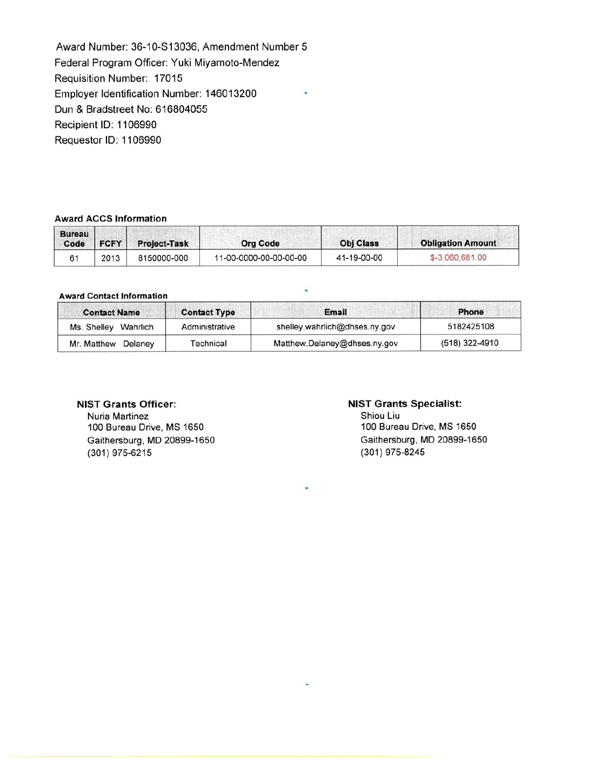Award Number: 36-10-S13036, Amendment Number 5 Federal Program Officer: Yuki Miyamoto-Mendez Requisition Number: 17015 Employer Identification Number: 146013200 Dun & Bradstreet No: 616804055 Recipient ID: 1106990 Requestor ID: 1106990

## **Award ACCS Information**

| <b>Bureau</b><br>Code | <b>FCFY</b> | <b>Project-Task</b> | <b>Org Code</b>        | <b>Obj Class</b> | <b>Obligation Amount</b> |  |  |  |
|-----------------------|-------------|---------------------|------------------------|------------------|--------------------------|--|--|--|
|                       | 2013        | 8150000-000         | 11-00-0000-00-00-00-00 | 41-19-00-00      | \$-3,060,681.00          |  |  |  |

### **Award** Contact Information

| <b>Contact Name</b>  | <b>Contact Type</b> | Email                         | <b>Phone</b>   |
|----------------------|---------------------|-------------------------------|----------------|
| Ms. Shelley Wahrlich | Administrative      | shelley.wahrlich@dhses.ny.gov | 5182425108     |
| Mr. Matthew Delaney  | Technical           | Matthew.Delaney@dhses.ny.gov  | (518) 322-4910 |

### **NIST Grants Officer:**

Nuria Martinez 100 Bureau Drive, MS 1650 Gaithersburg, MD 20899-1650 (301) 975-6215

#### **NIST Grants Specialist:**

Shiou Liu 100 Bureau Drive, MS 1650 Gaithersburg, MD 20899-1650 (301) 975-8245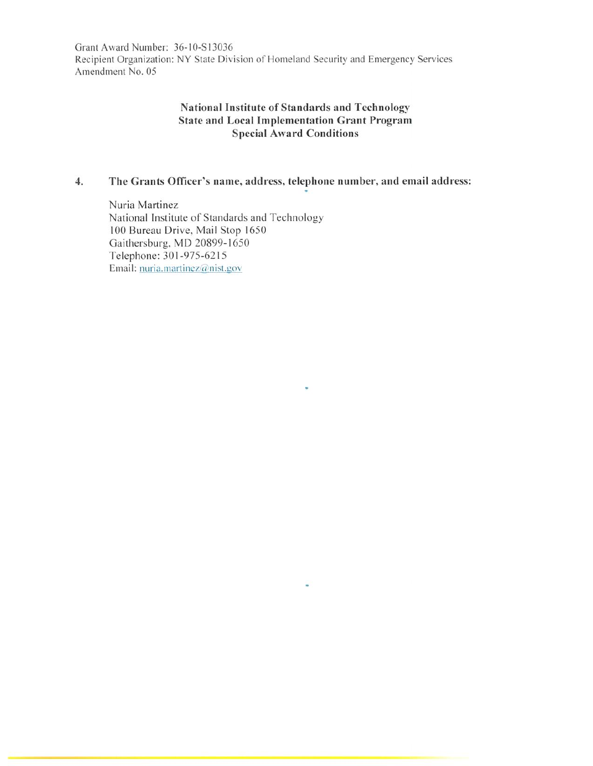Grant Award Number: 36-10-S13036 Recipient Organization: NY State Division of Homeland Security and Emergency Services Amendment No. 05

## **National Institute of Standards and Technology State and Local Implementation Grant Program Special Award Conditions**

## **4. The Grants Officer's name, address, telephone number, and email address:**

Nuria Martinez National Institute of Standards and Technology I 00 Bureau Drive, Mail Stop 1650 Gaithersburg, MD 20899-1650 Telephone: 301-975-6215 Email: nuria.martinez@nist.gov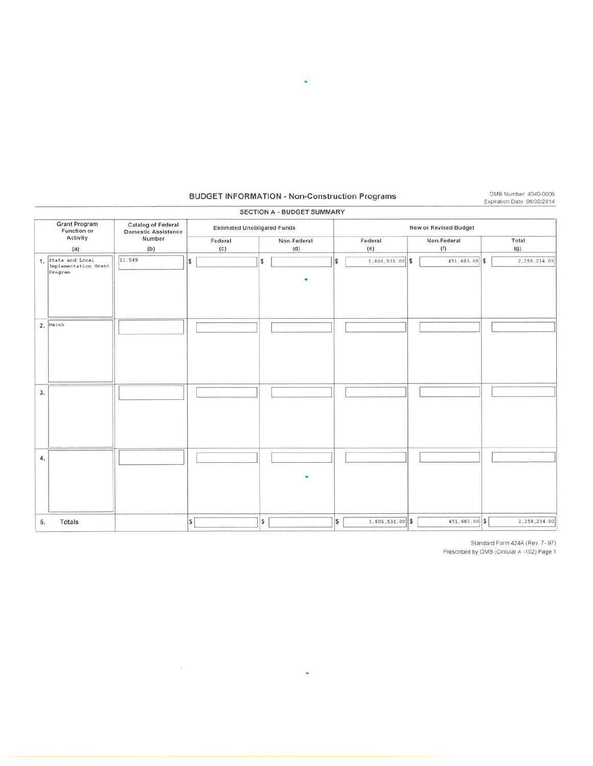## **BUDGET INFORMATION - Non-Construction Programs**

OMB Number: 4040-0006<br>Expiration Date: 06/30/2014

|    |                                                       |                                                         |                                    | SECTION A - BUDGET SUMMARY |                              |                    |              |  |  |  |  |
|----|-------------------------------------------------------|---------------------------------------------------------|------------------------------------|----------------------------|------------------------------|--------------------|--------------|--|--|--|--|
|    | <b>Grant Program</b><br><b>Function or</b>            | <b>Catalog of Federal</b><br><b>Domestic Assistance</b> | <b>Estimated Unobligated Funds</b> |                            | <b>New or Revised Budget</b> |                    |              |  |  |  |  |
|    | Activity<br>$\langle a \rangle$                       | Number<br>(b)                                           | Federal<br>(c)                     | Non-Federal<br>(d)         | Federal<br>(e)               | Non-Federal<br>(f) | Total<br>(g) |  |  |  |  |
|    | 1. State and Local<br>Implementation Grant<br>Program | 11.549                                                  | \$                                 | s<br>٠                     | 1,806,531.00 \$<br>l\$       | 451,683.00 \$      | 2,258,214.00 |  |  |  |  |
|    | 2. Match                                              |                                                         |                                    |                            |                              |                    |              |  |  |  |  |
| 3. |                                                       |                                                         |                                    |                            |                              |                    |              |  |  |  |  |
| 4. |                                                       |                                                         |                                    | ٠                          |                              |                    |              |  |  |  |  |
| 5. | Totals                                                |                                                         | $\vert$ \$                         | \$                         | \$<br>1,806,531.00 \$        | 451,683.00 \$      | 2,258,214.00 |  |  |  |  |

 $\overline{\phantom{a}}$ 

 $\langle \hat{V}^{\rm N}_{\rm eff} \rangle$ 

Standard Form 424A (Rev. 7-97)<br>Prescribed by OMB (Circular A -102) Page 1

 $\mathcal{L}_{\mathcal{A}}$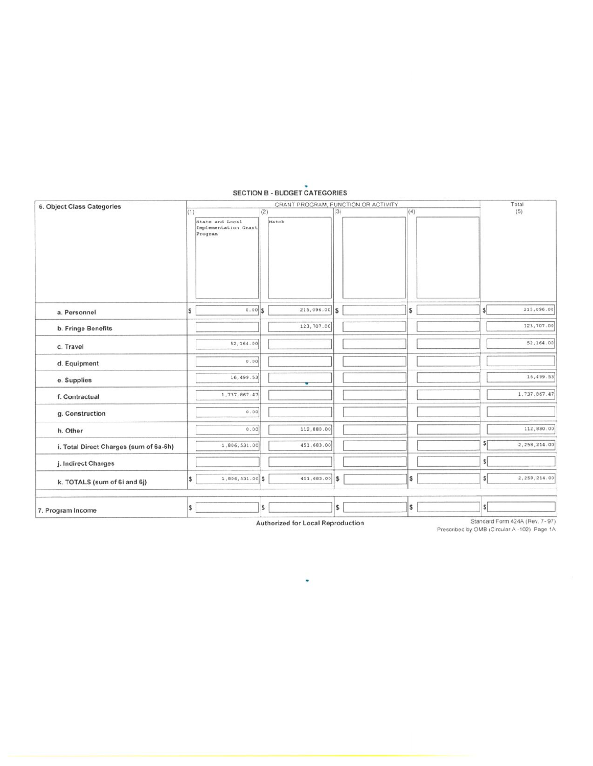| 6. Object Class Categories             |     | GRANT PROGRAM, FUNCTION OR ACTIVITY                |     |                 |     |  |     |  | Total        |              |  |
|----------------------------------------|-----|----------------------------------------------------|-----|-----------------|-----|--|-----|--|--------------|--------------|--|
|                                        | (1) | State and Local<br>Implementation Grant<br>Program | (2) | Match           | (3) |  | (4) |  |              | (5)          |  |
| a. Personnel                           | \$  | $0.00$ S                                           |     | $215,096.00$ \$ |     |  | S   |  | s            | 215,096.00   |  |
| b. Fringe Benefits                     |     |                                                    |     | 123,707.00      |     |  |     |  |              | 123,707.00   |  |
| c. Travel                              |     | 52,164.00                                          |     |                 |     |  |     |  |              | 52,164.00    |  |
| d. Equipment                           |     | 0.00                                               |     |                 |     |  |     |  |              |              |  |
| e. Supplies                            |     | 16,499.53                                          |     |                 |     |  |     |  |              | 16,499.53    |  |
| f. Contractual                         |     | 1,737,867.47                                       |     |                 |     |  |     |  |              | 1,737,867.47 |  |
| g. Construction                        |     | 0.00                                               |     |                 |     |  |     |  |              |              |  |
| h. Other                               |     | 0.00                                               |     | 112,880.00      |     |  |     |  |              | 112,880.00   |  |
| i. Total Direct Charges (sum of 6a-6h) |     | 1,806,531.00                                       |     | 451,683.00      |     |  |     |  | \$           | 2,258,214.00 |  |
| j. Indirect Charges                    |     |                                                    |     |                 |     |  |     |  | $\mathsf{s}$ |              |  |
| k. TOTALS (sum of 6i and 6j)           | l\$ | 1,806,531.00 \$                                    |     | 451,683.00 \$   |     |  | \$  |  | $\mathsf{s}$ | 2,258,214.00 |  |
| 7. Program Income                      | \$  |                                                    | I\$ |                 | \$  |  | l\$ |  | $\vert$ \$   |              |  |

# **SECTION B - BUDGET CATEGORIES**

Authorized for Local Reproduction

Standard Form 424A (Rev. 7-97)<br>Prescribed by OMB (Circular A -102) Page 1A

 $\bullet$